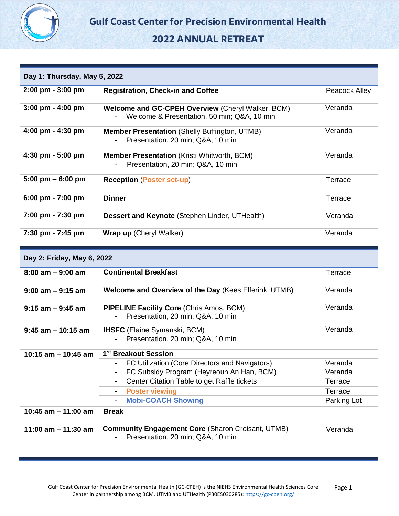

# **2022 ANNUAL RETREAT**

| Day 1: Thursday, May 5, 2022        |                                                                                                  |               |  |
|-------------------------------------|--------------------------------------------------------------------------------------------------|---------------|--|
| 2:00 pm - 3:00 pm                   | <b>Registration, Check-in and Coffee</b>                                                         | Peacock Alley |  |
| $3:00$ pm - $4:00$ pm               | Welcome and GC-CPEH Overview (Cheryl Walker, BCM)<br>Welcome & Presentation, 50 min; Q&A, 10 min | Veranda       |  |
| 4:00 pm - 4:30 pm                   | Member Presentation (Shelly Buffington, UTMB)<br>Presentation, 20 min; Q&A, 10 min               | Veranda       |  |
| 4:30 pm - 5:00 pm                   | <b>Member Presentation (Kristi Whitworth, BCM)</b><br>Presentation, 20 min; Q&A, 10 min          | Veranda       |  |
| $5:00 \text{ pm} - 6:00 \text{ pm}$ | <b>Reception (Poster set-up)</b>                                                                 | Terrace       |  |
| 6:00 pm - 7:00 pm                   | <b>Dinner</b>                                                                                    | Terrace       |  |
| 7:00 pm - 7:30 pm                   | Dessert and Keynote (Stephen Linder, UTHealth)                                                   | Veranda       |  |
| 7:30 pm - 7:45 pm                   | <b>Wrap up (Cheryl Walker)</b>                                                                   | Veranda       |  |
| Day 2: Friday, May 6, 2022          |                                                                                                  |               |  |
| $8:00$ am $-9:00$ am                | <b>Continental Breakfast</b>                                                                     | Terrace       |  |
| $9:00$ am $-9:15$ am                | Welcome and Overview of the Day (Kees Elferink, UTMB)                                            | Veranda       |  |
| $9:15$ am $-9:45$ am                | <b>PIPELINE Facility Core (Chris Amos, BCM)</b><br>Presentation, 20 min; Q&A, 10 min             | Veranda       |  |
| $9:45$ am $-10:15$ am               | <b>IHSFC</b> (Elaine Symanski, BCM)<br>Presentation, 20 min; Q&A, 10 min                         | Veranda       |  |
| 10:15 am - 10:45 am                 | 1 <sup>st</sup> Breakout Session                                                                 |               |  |
|                                     | FC Utilization (Core Directors and Navigators)                                                   | Veranda       |  |
|                                     | FC Subsidy Program (Heyreoun An Han, BCM)                                                        | Veranda       |  |
|                                     | Center Citation Table to get Raffle tickets                                                      | Terrace       |  |
|                                     | <b>Poster viewing</b><br>$\blacksquare$                                                          | Terrace       |  |
|                                     | <b>Mobi-COACH Showing</b><br>$\overline{\phantom{a}}$                                            | Parking Lot   |  |
| 10:45 am $-$ 11:00 am               | <b>Break</b>                                                                                     |               |  |
| 11:00 am $-$ 11:30 am               | <b>Community Engagement Core (Sharon Croisant, UTMB)</b><br>Presentation, 20 min; Q&A, 10 min    | Veranda       |  |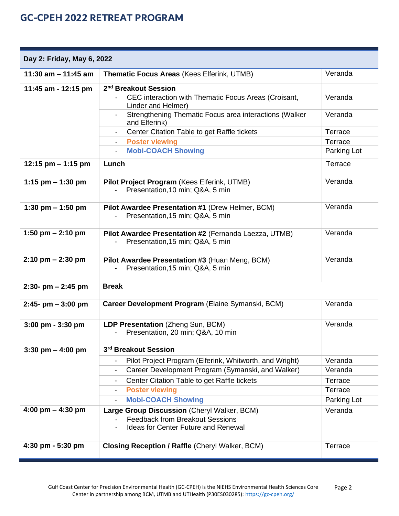| Day 2: Friday, May 6, 2022          |                                                                                                                                                                                                 |             |  |
|-------------------------------------|-------------------------------------------------------------------------------------------------------------------------------------------------------------------------------------------------|-------------|--|
| 11:30 am $-$ 11:45 am               | Thematic Focus Areas (Kees Elferink, UTMB)                                                                                                                                                      | Veranda     |  |
| 11:45 am - 12:15 pm                 | 2 <sup>nd</sup> Breakout Session                                                                                                                                                                |             |  |
|                                     | CEC interaction with Thematic Focus Areas (Croisant,<br>Linder and Helmer)                                                                                                                      | Veranda     |  |
|                                     | Strengthening Thematic Focus area interactions (Walker<br>$\blacksquare$<br>and Elferink)                                                                                                       | Veranda     |  |
|                                     | Center Citation Table to get Raffle tickets                                                                                                                                                     | Terrace     |  |
|                                     | <b>Poster viewing</b><br>$\sim$                                                                                                                                                                 | Terrace     |  |
|                                     | <b>Mobi-COACH Showing</b><br>$\overline{\phantom{0}}$                                                                                                                                           | Parking Lot |  |
| 12:15 pm $-$ 1:15 pm                | Lunch                                                                                                                                                                                           | Terrace     |  |
| 1:15 pm $-$ 1:30 pm                 | Pilot Project Program (Kees Elferink, UTMB)<br>Presentation, 10 min; Q&A, 5 min                                                                                                                 | Veranda     |  |
| 1:30 pm $-$ 1:50 pm                 | Pilot Awardee Presentation #1 (Drew Helmer, BCM)<br>Presentation, 15 min; Q&A, 5 min                                                                                                            | Veranda     |  |
| 1:50 pm $- 2:10$ pm                 | Pilot Awardee Presentation #2 (Fernanda Laezza, UTMB)<br>Presentation, 15 min; Q&A, 5 min                                                                                                       | Veranda     |  |
| $2:10 \text{ pm} - 2:30 \text{ pm}$ | Pilot Awardee Presentation #3 (Huan Meng, BCM)<br>Presentation, 15 min; Q&A, 5 min                                                                                                              | Veranda     |  |
| $2:30 - pm - 2:45 pm$               | <b>Break</b>                                                                                                                                                                                    |             |  |
| $2:45-$ pm $-3:00$ pm               | Career Development Program (Elaine Symanski, BCM)                                                                                                                                               | Veranda     |  |
| $3:00$ pm - $3:30$ pm               | LDP Presentation (Zheng Sun, BCM)<br>Presentation, 20 min; Q&A, 10 min                                                                                                                          | Veranda     |  |
| $3:30 \text{ pm} - 4:00 \text{ pm}$ | 3rd Breakout Session                                                                                                                                                                            |             |  |
|                                     | Pilot Project Program (Elferink, Whitworth, and Wright)<br>$\overline{\phantom{a}}$                                                                                                             | Veranda     |  |
|                                     | Career Development Program (Symanski, and Walker)<br>$\overline{\phantom{a}}$                                                                                                                   | Veranda     |  |
|                                     | Center Citation Table to get Raffle tickets<br>$\overline{\phantom{a}}$                                                                                                                         | Terrace     |  |
|                                     | <b>Poster viewing</b><br>$\overline{\phantom{a}}$                                                                                                                                               | Terrace     |  |
|                                     | <b>Mobi-COACH Showing</b><br>$\overline{\phantom{a}}$                                                                                                                                           | Parking Lot |  |
| 4:00 pm $-$ 4:30 pm                 | Large Group Discussion (Cheryl Walker, BCM)<br><b>Feedback from Breakout Sessions</b><br>$\overline{\phantom{0}}$<br><b>Ideas for Center Future and Renewal</b><br>$\qquad \qquad \blacksquare$ | Veranda     |  |
| 4:30 pm - 5:30 pm                   | <b>Closing Reception / Raffle (Cheryl Walker, BCM)</b>                                                                                                                                          | Terrace     |  |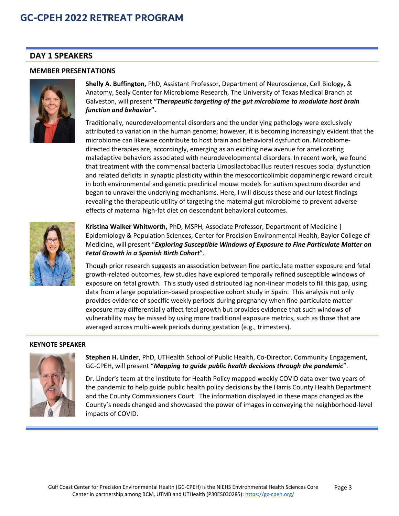## **DAY 1 SPEAKERS**

#### **MEMBER PRESENTATIONS**



**Shelly A. Buffington,** PhD, Assistant Professor, Department of Neuroscience, Cell Biology, & Anatomy, Sealy Center for Microbiome Research, The University of Texas Medical Branch at Galveston, will present **"***Therapeutic targeting of the gut microbiome to modulate host brain function and behavior***".** 

Traditionally, neurodevelopmental disorders and the underlying pathology were exclusively attributed to variation in the human genome; however, it is becoming increasingly evident that the microbiome can likewise contribute to host brain and behavioral dysfunction. Microbiomedirected therapies are, accordingly, emerging as an exciting new avenue for ameliorating maladaptive behaviors associated with neurodevelopmental disorders. In recent work, we found that treatment with the commensal bacteria Limosilactobacillus reuteri rescues social dysfunction and related deficits in synaptic plasticity within the mesocorticolimbic dopaminergic reward circuit in both environmental and genetic preclinical mouse models for autism spectrum disorder and began to unravel the underlying mechanisms. Here, I will discuss these and our latest findings revealing the therapeutic utility of targeting the maternal gut microbiome to prevent adverse effects of maternal high-fat diet on descendant behavioral outcomes.



**Kristina Walker Whitworth,** PhD, MSPH, Associate Professor, Department of Medicine | Epidemiology & Population Sciences, Center for Precision Environmental Health, Baylor College of Medicine, will present "*Exploring Susceptible Windows of Exposure to Fine Particulate Matter on Fetal Growth in a Spanish Birth Cohort*".

Though prior research suggests an association between fine particulate matter exposure and fetal growth-related outcomes, few studies have explored temporally refined susceptible windows of exposure on fetal growth. This study used distributed lag non-linear models to fill this gap, using data from a large population-based prospective cohort study in Spain. This analysis not only provides evidence of specific weekly periods during pregnancy when fine particulate matter exposure may differentially affect fetal growth but provides evidence that such windows of vulnerability may be missed by using more traditional exposure metrics, such as those that are averaged across multi-week periods during gestation (e.g., trimesters).

#### **KEYNOTE SPEAKER**



**Stephen H. Linder**, PhD, UTHealth School of Public Health, Co-Director, Community Engagement, GC-CPEH, will present "*Mapping to guide public health decisions through the pandemic*".

Dr. Linder's team at the Institute for Health Policy mapped weekly COVID data over two years of the pandemic to help guide public health policy decisions by the Harris County Health Department and the County Commissioners Court. The information displayed in these maps changed as the County's needs changed and showcased the power of images in conveying the neighborhood-level impacts of COVID.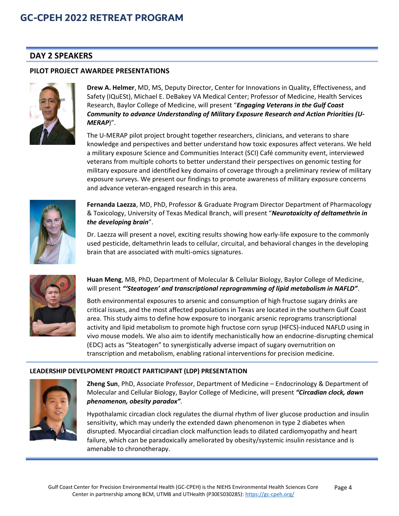## **DAY 2 SPEAKERS**

#### **PILOT PROJECT AWARDEE PRESENTATIONS**



**Drew A. Helmer**, MD, MS, Deputy Director, Center for Innovations in Quality, Effectiveness, and Safety (IQuESt), Michael E. DeBakey VA Medical Center; Professor of Medicine, Health Services Research, Baylor College of Medicine, will present "*Engaging Veterans in the Gulf Coast Community to advance Understanding of Military Exposure Research and Action Priorities (U-MERAP*)".

The U-MERAP pilot project brought together researchers, clinicians, and veterans to share knowledge and perspectives and better understand how toxic exposures affect veterans. We held a military exposure Science and Communities Interact (SCI) Café community event, interviewed veterans from multiple cohorts to better understand their perspectives on genomic testing for military exposure and identified key domains of coverage through a preliminary review of military exposure surveys. We present our findings to promote awareness of military exposure concerns and advance veteran-engaged research in this area.



**Fernanda Laezza**, MD, PhD, Professor & Graduate Program Director Department of Pharmacology & Toxicology, University of Texas Medical Branch, will present "*Neurotoxicity of deltamethrin in the developing brain*".

Dr. Laezza will present a novel, exciting results showing how early-life exposure to the commonly used pesticide, deltamethrin leads to cellular, circuital, and behavioral changes in the developing brain that are associated with multi-omics signatures.



**Huan Meng**, MB, PhD, Department of Molecular & Cellular Biology, Baylor College of Medicine, will present *"'Steatogen' and transcriptional reprogramming of lipid metabolism in NAFLD"*.

Both environmental exposures to arsenic and consumption of high fructose sugary drinks are critical issues, and the most affected populations in Texas are located in the southern Gulf Coast area. This study aims to define how exposure to inorganic arsenic reprograms transcriptional activity and lipid metabolism to promote high fructose corn syrup (HFCS)-induced NAFLD using in vivo mouse models. We also aim to identify mechanistically how an endocrine-disrupting chemical (EDC) acts as "Steatogen" to synergistically adverse impact of sugary overnutrition on transcription and metabolism, enabling rational interventions for precision medicine.

#### **LEADERSHIP DEVELPOMENT PROJECT PARTICIPANT (LDP) PRESENTATION**



**Zheng Sun**, PhD, Associate Professor, Department of Medicine – Endocrinology & Department of Molecular and Cellular Biology, Baylor College of Medicine, will present *"Circadian clock, dawn phenomenon, obesity paradox"*.

Hypothalamic circadian clock regulates the diurnal rhythm of liver glucose production and insulin sensitivity, which may underly the extended dawn phenomenon in type 2 diabetes when disrupted. Myocardial circadian clock malfunction leads to dilated cardiomyopathy and heart failure, which can be paradoxically ameliorated by obesity/systemic insulin resistance and is amenable to chronotherapy.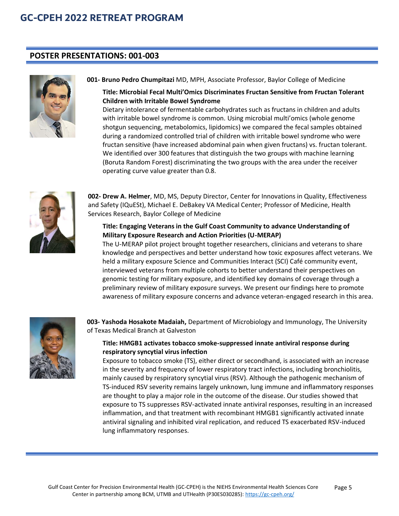## **POSTER PRESENTATIONS: 001-003**



**001- Bruno Pedro Chumpitazi** MD, MPH, Associate Professor, Baylor College of Medicine

## **Title: Microbial Fecal Multi'Omics Discriminates Fructan Sensitive from Fructan Tolerant Children with Irritable Bowel Syndrome**

Dietary intolerance of fermentable carbohydrates such as fructans in children and adults with irritable bowel syndrome is common. Using microbial multi'omics (whole genome shotgun sequencing, metabolomics, lipidomics) we compared the fecal samples obtained during a randomized controlled trial of children with irritable bowel syndrome who were fructan sensitive (have increased abdominal pain when given fructans) vs. fructan tolerant. We identified over 300 features that distinguish the two groups with machine learning (Boruta Random Forest) discriminating the two groups with the area under the receiver operating curve value greater than 0.8.



**002- Drew A. Helmer**, MD, MS, Deputy Director, Center for Innovations in Quality, Effectiveness and Safety (IQuESt), Michael E. DeBakey VA Medical Center; Professor of Medicine, Health Services Research, Baylor College of Medicine

### **Title: Engaging Veterans in the Gulf Coast Community to advance Understanding of Military Exposure Research and Action Priorities (U-MERAP)**

The U-MERAP pilot project brought together researchers, clinicians and veterans to share knowledge and perspectives and better understand how toxic exposures affect veterans. We held a military exposure Science and Communities Interact (SCI) Café community event, interviewed veterans from multiple cohorts to better understand their perspectives on genomic testing for military exposure, and identified key domains of coverage through a preliminary review of military exposure surveys. We present our findings here to promote awareness of military exposure concerns and advance veteran-engaged research in this area.



**003- Yashoda Hosakote Madaiah,** Department of Microbiology and Immunology, The University of Texas Medical Branch at Galveston

### **Title: HMGB1 activates tobacco smoke-suppressed innate antiviral response during respiratory syncytial virus infection**

Exposure to tobacco smoke (TS), either direct or secondhand, is associated with an increase in the severity and frequency of lower respiratory tract infections, including bronchiolitis, mainly caused by respiratory syncytial virus (RSV). Although the pathogenic mechanism of TS-induced RSV severity remains largely unknown, lung immune and inflammatory responses are thought to play a major role in the outcome of the disease. Our studies showed that exposure to TS suppresses RSV-activated innate antiviral responses, resulting in an increased inflammation, and that treatment with recombinant HMGB1 significantly activated innate antiviral signaling and inhibited viral replication, and reduced TS exacerbated RSV-induced lung inflammatory responses.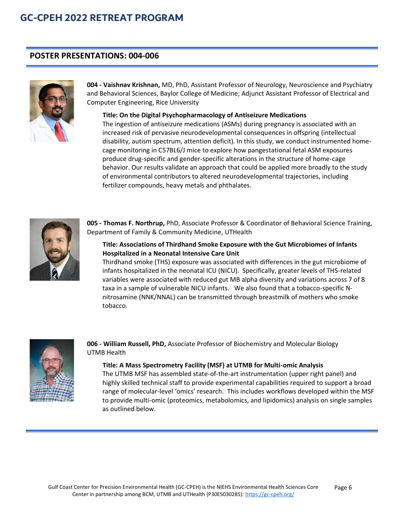## **POSTER PRESENTATIONS: 004-006**



**004 - Vaishnav Krishnan,** MD, PhD, Assistant Professor of Neurology, Neuroscience and Psychiatry and Behavioral Sciences, Baylor College of Medicine; Adjunct Assistant Professor of Electrical and Computer Engineering, Rice University

#### **Title: On the Digital Psychopharmacology of Antiseizure Medications**

The ingestion of antiseizure medications (ASMs) during pregnancy is associated with an increased risk of pervasive neurodevelopmental consequences in offspring (intellectual disability, autism spectrum, attention deficit). In this study, we conduct instrumented homecage monitoring in C57BL6/J mice to explore how pangestational fetal ASM exposures produce drug-specific and gender-specific alterations in the structure of home-cage behavior. Our results validate an approach that could be applied more broadly to the study of environmental contributors to altered neurodevelopmental trajectories, including fertilizer compounds, heavy metals and phthalates.



**005 - Thomas F. Northrup,** PhD, Associate Professor & Coordinator of Behavioral Science Training, Department of Family & Community Medicine, UTHealth

### **Title: Associations of Thirdhand Smoke Exposure with the Gut Microbiomes of Infants Hospitalized in a Neonatal Intensive Care Unit**

Thirdhand smoke (THS) exposure was associated with differences in the gut microbiome of infants hospitalized in the neonatal ICU (NICU). Specifically, greater levels of THS-related variables were associated with reduced gut MB alpha diversity and variations across 7 of 8 taxa in a sample of vulnerable NICU infants. We also found that a tobacco-specific Nnitrosamine (NNK/NNAL) can be transmitted through breastmilk of mothers who smoke tobacco.



**006 - William Russell, PhD,** Associate Professor of Biochemistry and Molecular Biology UTMB Health

#### **Title: A Mass Spectrometry Facility (MSF) at UTMB for Multi-omic Analysis**

The UTMB MSF has assembled state-of-the-art instrumentation (upper right panel) and highly skilled technical staff to provide experimental capabilities required to support a broad range of molecular-level 'omics' research. This includes workflows developed within the MSF to provide multi-omic (proteomics, metabolomics, and lipidomics) analysis on single samples as outlined below.